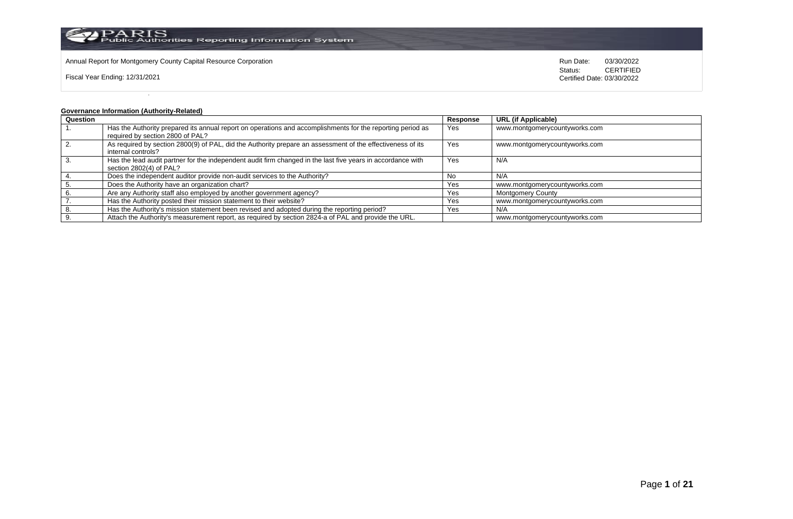

Annual Report for Montgomery County Capital Resource Corporation **Run Date:** 03/30/2022 **Run Date:** 03/30/2022

Fiscal Year Ending: 12/31/2021

Status: **CERTIFIED** Certified Date: 03/30/2022

## **Governance Information (Authority-Related)**

| Question |                                                                                                             | Response | <b>URL</b> (if Applicable)    |
|----------|-------------------------------------------------------------------------------------------------------------|----------|-------------------------------|
|          | Has the Authority prepared its annual report on operations and accomplishments for the reporting period as  | Yes      | www.montgomerycountyworks.com |
|          | required by section 2800 of PAL?                                                                            |          |                               |
|          | As required by section 2800(9) of PAL, did the Authority prepare an assessment of the effectiveness of its  | Yes      | www.montgomerycountyworks.com |
|          | internal controls?                                                                                          |          |                               |
|          | Has the lead audit partner for the independent audit firm changed in the last five years in accordance with | Yes      | N/A                           |
|          | section 2802(4) of PAL?                                                                                     |          |                               |
|          | Does the independent auditor provide non-audit services to the Authority?                                   | No.      | N/A                           |
|          | Does the Authority have an organization chart?                                                              | Yes      | www.montgomerycountyworks.com |
|          | Are any Authority staff also employed by another government agency?                                         | Yes      | <b>Montgomery County</b>      |
|          | Has the Authority posted their mission statement to their website?                                          | Yes      | www.montgomerycountyworks.com |
|          | Has the Authority's mission statement been revised and adopted during the reporting period?                 | Yes      | N/A                           |
|          | Attach the Authority's measurement report, as required by section 2824-a of PAL and provide the URL.        |          | www.montgomerycountyworks.com |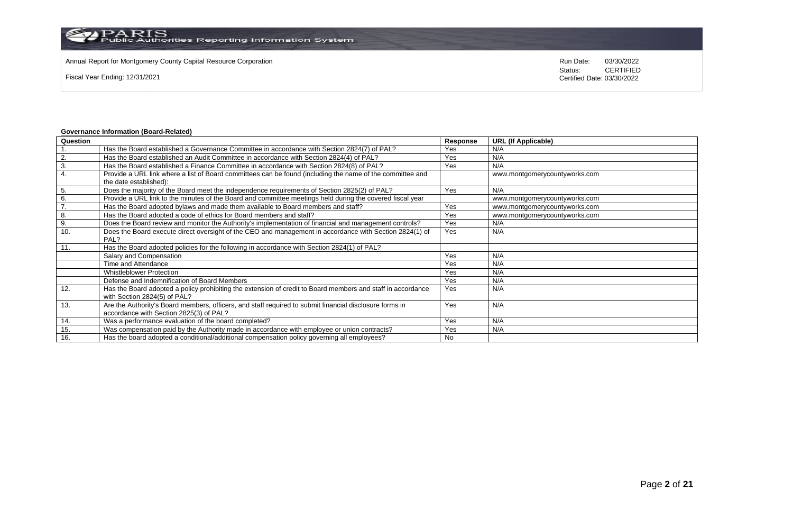Annual Report for Montgomery County Capital Resource Corporation **Run Date:** 03/30/2022 **Run Date:** 03/30/2022

Fiscal Year Ending: 12/31/2021

Status: **CERTIFIED** Certified Date: 03/30/2022

## **Governance Information (Board-Related)**

| Question |                                                                                                             | Response | <b>URL (If Applicable)</b>    |
|----------|-------------------------------------------------------------------------------------------------------------|----------|-------------------------------|
|          | Has the Board established a Governance Committee in accordance with Section 2824(7) of PAL?                 | Yes      | N/A                           |
| 2.       | Has the Board established an Audit Committee in accordance with Section 2824(4) of PAL?                     | Yes      | N/A                           |
| 3.       | Has the Board established a Finance Committee in accordance with Section 2824(8) of PAL?                    | Yes      | N/A                           |
| 4.       | Provide a URL link where a list of Board committees can be found (including the name of the committee and   |          | www.montgomerycountyworks.com |
|          | the date established):                                                                                      |          |                               |
| 5.       | Does the majority of the Board meet the independence requirements of Section 2825(2) of PAL?                | Yes      | N/A                           |
| 6.       | Provide a URL link to the minutes of the Board and committee meetings held during the covered fiscal year   |          | www.montgomerycountyworks.com |
| 7.       | Has the Board adopted bylaws and made them available to Board members and staff?                            | Yes      | www.montgomerycountyworks.com |
| 8.       | Has the Board adopted a code of ethics for Board members and staff?                                         | Yes      | www.montgomerycountyworks.com |
| 9.       | Does the Board review and monitor the Authority's implementation of financial and management controls?      | Yes      | N/A                           |
| 10.      | Does the Board execute direct oversight of the CEO and management in accordance with Section 2824(1) of     | Yes      | N/A                           |
|          | PAL?                                                                                                        |          |                               |
| 11.      | Has the Board adopted policies for the following in accordance with Section 2824(1) of PAL?                 |          |                               |
|          | Salary and Compensation                                                                                     | Yes      | N/A                           |
|          | Time and Attendance                                                                                         | Yes      | N/A                           |
|          | <b>Whistleblower Protection</b>                                                                             | Yes      | N/A                           |
|          | Defense and Indemnification of Board Members                                                                | Yes      | N/A                           |
| 12.      | Has the Board adopted a policy prohibiting the extension of credit to Board members and staff in accordance | Yes      | N/A                           |
|          | with Section 2824(5) of PAL?                                                                                |          |                               |
| 13.      | Are the Authority's Board members, officers, and staff required to submit financial disclosure forms in     | Yes      | N/A                           |
|          | accordance with Section 2825(3) of PAL?                                                                     |          |                               |
| 14.      | Was a performance evaluation of the board completed?                                                        | Yes      | N/A                           |
| 15.      | Was compensation paid by the Authority made in accordance with employee or union contracts?                 | Yes      | N/A                           |
| 16.      | Has the board adopted a conditional/additional compensation policy governing all employees?                 | No       |                               |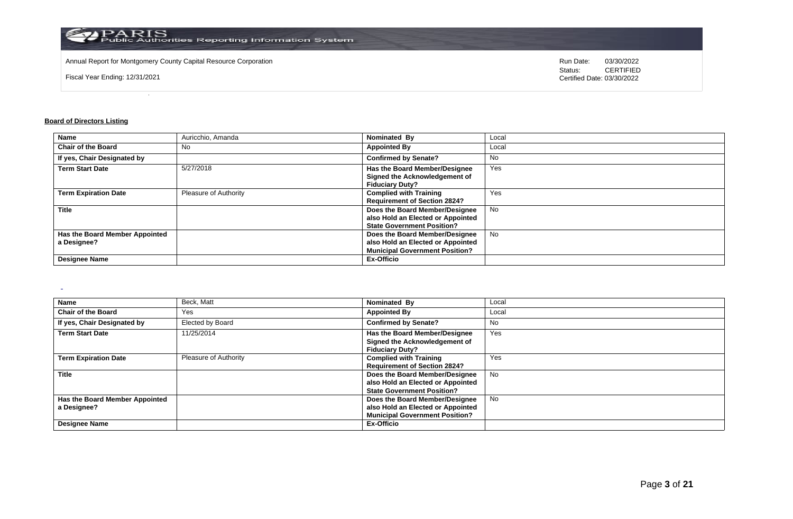

Annual Report for Montgomery County Capital Resource Corporation **Run Date:** 03/30/2022 **Run Date:** 03/30/2022

Fiscal Year Ending: 12/31/2021

Status: **CERTIFIED** Certified Date: 03/30/2022

### **Board of Directors Listing**

 $\sim$ 

| <b>Name</b>                    | Auricchio, Amanda     | Nominated By                          | Local     |
|--------------------------------|-----------------------|---------------------------------------|-----------|
| <b>Chair of the Board</b>      | No                    | <b>Appointed By</b>                   | Local     |
| If yes, Chair Designated by    |                       | <b>Confirmed by Senate?</b>           | No        |
| <b>Term Start Date</b>         | 5/27/2018             | Has the Board Member/Designee         | Yes       |
|                                |                       | Signed the Acknowledgement of         |           |
|                                |                       | <b>Fiduciary Duty?</b>                |           |
| <b>Term Expiration Date</b>    | Pleasure of Authority | <b>Complied with Training</b>         | Yes       |
|                                |                       | <b>Requirement of Section 2824?</b>   |           |
| <b>Title</b>                   |                       | Does the Board Member/Designee        | <b>No</b> |
|                                |                       | also Hold an Elected or Appointed     |           |
|                                |                       | <b>State Government Position?</b>     |           |
| Has the Board Member Appointed |                       | Does the Board Member/Designee        | <b>No</b> |
| a Designee?                    |                       | also Hold an Elected or Appointed     |           |
|                                |                       | <b>Municipal Government Position?</b> |           |
| <b>Designee Name</b>           |                       | <b>Ex-Officio</b>                     |           |

| <b>Name</b>                    | Beck, Matt            | Nominated By                          | Local     |
|--------------------------------|-----------------------|---------------------------------------|-----------|
| <b>Chair of the Board</b>      | Yes                   | <b>Appointed By</b>                   | Local     |
| If yes, Chair Designated by    | Elected by Board      | <b>Confirmed by Senate?</b>           | No.       |
| <b>Term Start Date</b>         | 11/25/2014            | Has the Board Member/Designee         | Yes       |
|                                |                       | Signed the Acknowledgement of         |           |
|                                |                       | <b>Fiduciary Duty?</b>                |           |
| <b>Term Expiration Date</b>    | Pleasure of Authority | <b>Complied with Training</b>         | Yes       |
|                                |                       | <b>Requirement of Section 2824?</b>   |           |
| <b>Title</b>                   |                       | Does the Board Member/Designee        | <b>No</b> |
|                                |                       | also Hold an Elected or Appointed     |           |
|                                |                       | <b>State Government Position?</b>     |           |
| Has the Board Member Appointed |                       | Does the Board Member/Designee        | <b>No</b> |
| a Designee?                    |                       | also Hold an Elected or Appointed     |           |
|                                |                       | <b>Municipal Government Position?</b> |           |
| <b>Designee Name</b>           |                       | Ex-Officio                            |           |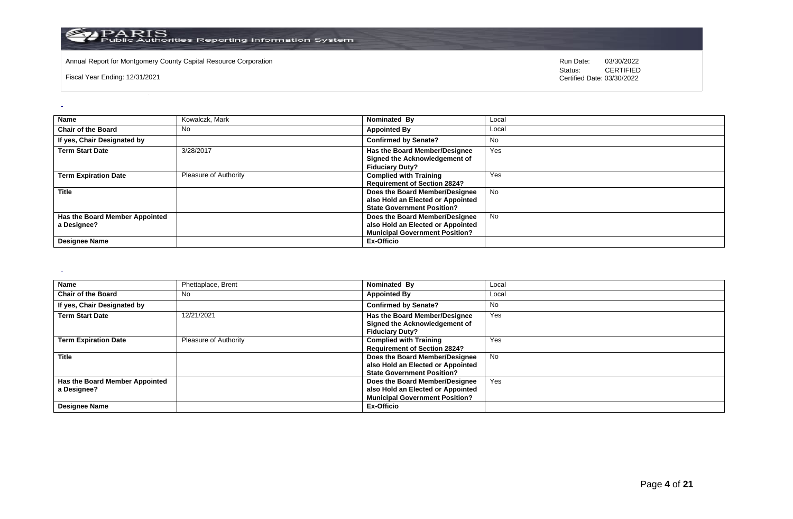

Annual Report for Montgomery County Capital Resource Corporation **Run Date:** 03/30/2022 **Run Date:** 03/30/2022

Fiscal Year Ending: 12/31/2021

Status: **CERTIFIED** Certified Date: 03/30/2022

| <b>Name</b>                                   | Kowalczk, Mark        | Nominated By                                                                                                 | Local     |
|-----------------------------------------------|-----------------------|--------------------------------------------------------------------------------------------------------------|-----------|
| <b>Chair of the Board</b>                     | No                    | <b>Appointed By</b>                                                                                          | Local     |
| If yes, Chair Designated by                   |                       | <b>Confirmed by Senate?</b>                                                                                  | No        |
| <b>Term Start Date</b>                        | 3/28/2017             | Has the Board Member/Designee<br>Signed the Acknowledgement of<br><b>Fiduciary Duty?</b>                     | Yes       |
| <b>Term Expiration Date</b>                   | Pleasure of Authority | <b>Complied with Training</b><br><b>Requirement of Section 2824?</b>                                         | Yes       |
| <b>Title</b>                                  |                       | Does the Board Member/Designee<br>also Hold an Elected or Appointed<br><b>State Government Position?</b>     | <b>No</b> |
| Has the Board Member Appointed<br>a Designee? |                       | Does the Board Member/Designee<br>also Hold an Elected or Appointed<br><b>Municipal Government Position?</b> | <b>No</b> |
| <b>Designee Name</b>                          |                       | Ex-Officio                                                                                                   |           |

 $\sim$ 

 $\omega$ 

| <b>Name</b>                    | Phettaplace, Brent    | Nominated By                          | Local     |
|--------------------------------|-----------------------|---------------------------------------|-----------|
| <b>Chair of the Board</b>      | No                    | <b>Appointed By</b>                   | Local     |
| If yes, Chair Designated by    |                       | <b>Confirmed by Senate?</b>           | <b>No</b> |
| <b>Term Start Date</b>         | 12/21/2021            | Has the Board Member/Designee         | Yes       |
|                                |                       | Signed the Acknowledgement of         |           |
|                                |                       | <b>Fiduciary Duty?</b>                |           |
| <b>Term Expiration Date</b>    | Pleasure of Authority | <b>Complied with Training</b>         | Yes       |
|                                |                       | <b>Requirement of Section 2824?</b>   |           |
| <b>Title</b>                   |                       | Does the Board Member/Designee        | No.       |
|                                |                       | also Hold an Elected or Appointed     |           |
|                                |                       | <b>State Government Position?</b>     |           |
| Has the Board Member Appointed |                       | Does the Board Member/Designee        | Yes       |
| a Designee?                    |                       | also Hold an Elected or Appointed     |           |
|                                |                       | <b>Municipal Government Position?</b> |           |
| <b>Designee Name</b>           |                       | Ex-Officio                            |           |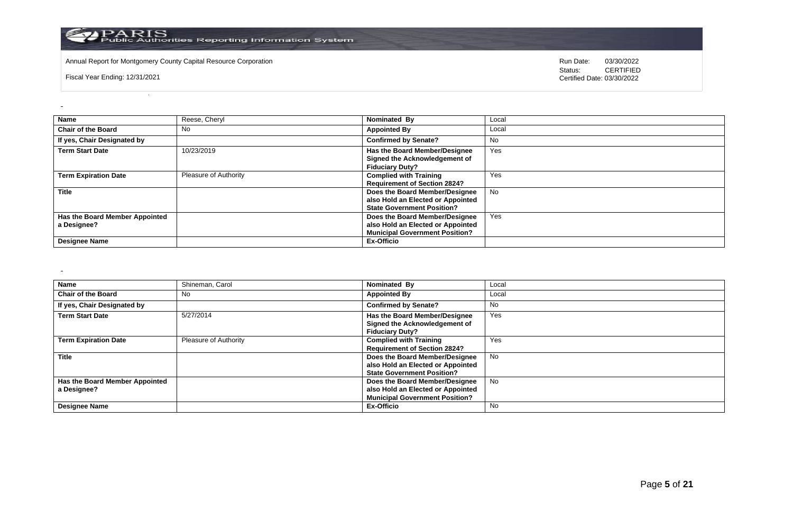

Annual Report for Montgomery County Capital Resource Corporation **Run Date:** 03/30/2022 **Run Date:** 03/30/2022

Fiscal Year Ending: 12/31/2021

Status: **CERTIFIED** Certified Date: 03/30/2022

| <b>Name</b>                    | Reese, Cheryl                | Nominated By                          | Local     |
|--------------------------------|------------------------------|---------------------------------------|-----------|
| <b>Chair of the Board</b>      | <b>No</b>                    | <b>Appointed By</b>                   | Local     |
|                                |                              |                                       |           |
| If yes, Chair Designated by    |                              | <b>Confirmed by Senate?</b>           | No        |
| <b>Term Start Date</b>         | 10/23/2019                   | Has the Board Member/Designee         | Yes       |
|                                |                              | Signed the Acknowledgement of         |           |
|                                |                              | <b>Fiduciary Duty?</b>                |           |
| <b>Term Expiration Date</b>    | <b>Pleasure of Authority</b> | <b>Complied with Training</b>         | Yes       |
|                                |                              | <b>Requirement of Section 2824?</b>   |           |
| <b>Title</b>                   |                              | Does the Board Member/Designee        | <b>No</b> |
|                                |                              | also Hold an Elected or Appointed     |           |
|                                |                              | <b>State Government Position?</b>     |           |
| Has the Board Member Appointed |                              | Does the Board Member/Designee        | Yes       |
| a Designee?                    |                              | also Hold an Elected or Appointed     |           |
|                                |                              | <b>Municipal Government Position?</b> |           |
| <b>Designee Name</b>           |                              | Ex-Officio                            |           |

 $\sim$ 

 $\omega$ 

| <b>Name</b>                    | Shineman, Carol              | Nominated By                          | Local     |
|--------------------------------|------------------------------|---------------------------------------|-----------|
| <b>Chair of the Board</b>      | No                           | <b>Appointed By</b>                   | Local     |
| If yes, Chair Designated by    |                              | <b>Confirmed by Senate?</b>           | <b>No</b> |
| <b>Term Start Date</b>         | 5/27/2014                    | Has the Board Member/Designee         | Yes       |
|                                |                              | Signed the Acknowledgement of         |           |
|                                |                              | <b>Fiduciary Duty?</b>                |           |
| <b>Term Expiration Date</b>    | <b>Pleasure of Authority</b> | <b>Complied with Training</b>         | Yes       |
|                                |                              | <b>Requirement of Section 2824?</b>   |           |
| <b>Title</b>                   |                              | Does the Board Member/Designee        | No.       |
|                                |                              | also Hold an Elected or Appointed     |           |
|                                |                              | <b>State Government Position?</b>     |           |
| Has the Board Member Appointed |                              | Does the Board Member/Designee        | No.       |
| a Designee?                    |                              | also Hold an Elected or Appointed     |           |
|                                |                              | <b>Municipal Government Position?</b> |           |
| <b>Designee Name</b>           |                              | Ex-Officio                            | <b>No</b> |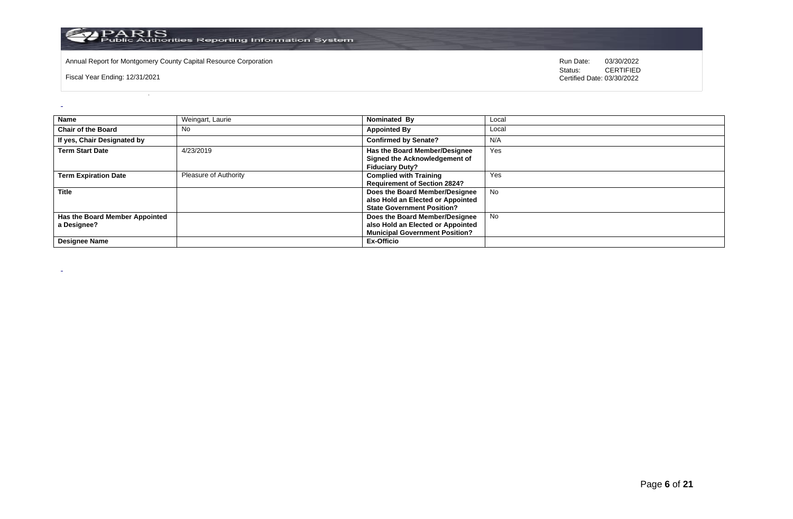

Annual Report for Montgomery County Capital Resource Corporation **Run Date:** 03/30/2022 **Run Date:** 03/30/2022

Fiscal Year Ending: 12/31/2021

 $\omega$ 

 $\sim$ 

Status: **CERTIFIED** Certified Date: 03/30/2022

| <b>Name</b>                                   | Weingart, Laurie      | Nominated By                                                                                                 | Local     |
|-----------------------------------------------|-----------------------|--------------------------------------------------------------------------------------------------------------|-----------|
| <b>Chair of the Board</b>                     | No                    | <b>Appointed By</b>                                                                                          | Local     |
| If yes, Chair Designated by                   |                       | <b>Confirmed by Senate?</b>                                                                                  | N/A       |
| <b>Term Start Date</b>                        | 4/23/2019             | Has the Board Member/Designee<br>Signed the Acknowledgement of<br><b>Fiduciary Duty?</b>                     | Yes       |
| <b>Term Expiration Date</b>                   | Pleasure of Authority | <b>Complied with Training</b><br><b>Requirement of Section 2824?</b>                                         | Yes       |
| <b>Title</b>                                  |                       | Does the Board Member/Designee<br>also Hold an Elected or Appointed<br><b>State Government Position?</b>     | <b>No</b> |
| Has the Board Member Appointed<br>a Designee? |                       | Does the Board Member/Designee<br>also Hold an Elected or Appointed<br><b>Municipal Government Position?</b> | No        |
| <b>Designee Name</b>                          |                       | Ex-Officio                                                                                                   |           |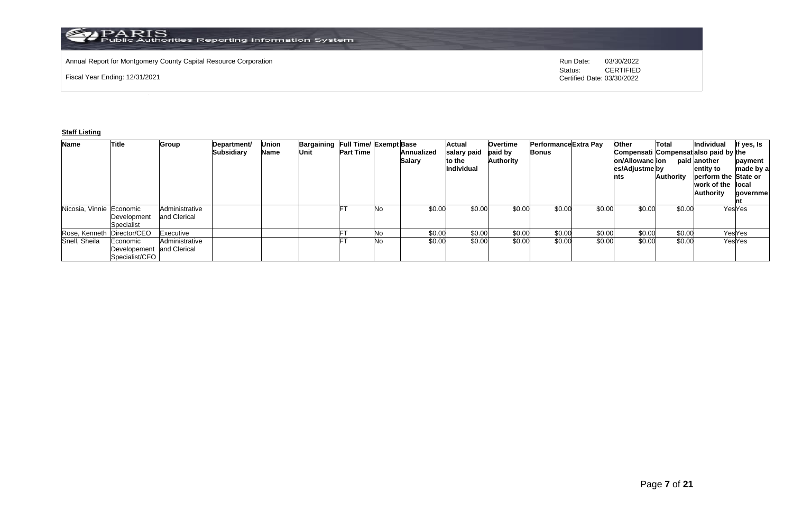

Annual Report for Montgomery County Capital Resource Corporation **Run Date:** 03/30/2022 **Run Date:** 03/30/2022

Fiscal Year Ending: 12/31/2021

Status: **CERTIFIED** Certified Date: 03/30/2022

## **Staff Listing**

| <b>Name</b>                | Title                                                   | <b>Group</b>                   | Department/<br><b>Subsidiary</b> | Jnion<br>Name | <b>Bargaining Full Time/ Exempt Base</b><br>Unit | <b>Part Time</b> |     | <b>Annualized</b><br><b>Salary</b> | <b>Actual</b><br>salary paid<br>to the<br><b>Individual</b> | Overtime<br>paid by<br><b>Authority</b> | Performance Extra Pay<br><b>Bonus</b> |        | Other<br>Compensati Compensat also paid by the<br>on/Allowanc ion<br>es/Adjustme by<br>nts | Total<br>Authority | Individual<br>paid another<br>entity to<br>perform the State or | If yes, Is<br>payment<br>made by a |
|----------------------------|---------------------------------------------------------|--------------------------------|----------------------------------|---------------|--------------------------------------------------|------------------|-----|------------------------------------|-------------------------------------------------------------|-----------------------------------------|---------------------------------------|--------|--------------------------------------------------------------------------------------------|--------------------|-----------------------------------------------------------------|------------------------------------|
|                            |                                                         |                                |                                  |               |                                                  |                  |     |                                    |                                                             |                                         |                                       |        |                                                                                            |                    | work of the llocal<br><b>Authority</b>                          | qovernme                           |
| Nicosia, Vinnie Economic   | Development<br>Specialist                               | Administrative<br>and Clerical |                                  |               |                                                  |                  | Nο  | \$0.00                             | \$0.00                                                      | \$0.00                                  | \$0.00                                | \$0.00 | \$0.00                                                                                     | \$0.00             |                                                                 | YesYes                             |
| Rose, Kenneth Director/CEO |                                                         | Executive                      |                                  |               |                                                  |                  | No. | \$0.00                             | \$0.00                                                      | \$0.00                                  | \$0.00                                | \$0.00 | \$0.00                                                                                     | \$0.00             |                                                                 | YesYes                             |
| Snell, Sheila              | Economic<br>Developement and Clerical<br>Specialist/CFO | Administrative                 |                                  |               |                                                  |                  | No  | \$0.00                             | \$0.00                                                      | \$0.00                                  | \$0.00                                | \$0.00 | \$0.00                                                                                     | \$0.00             |                                                                 | YesYes                             |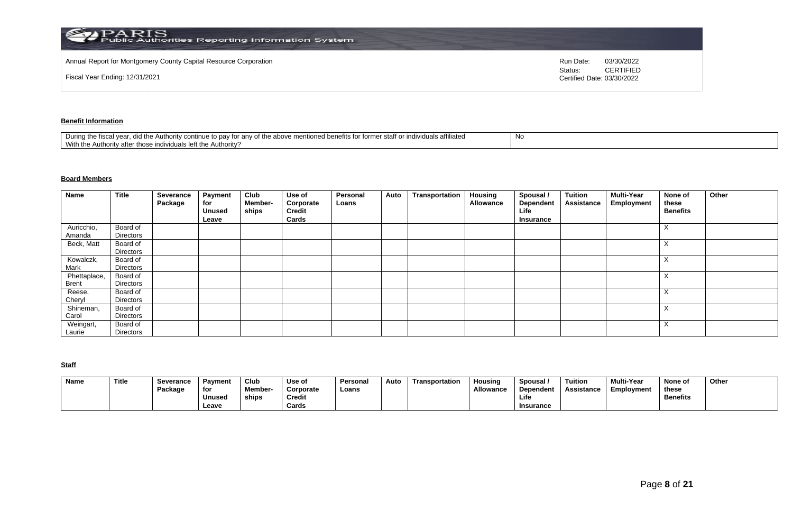| $\mathbf{P}\text{ARIS}$ Public Authorities Reporting Information System |                                                           |
|-------------------------------------------------------------------------|-----------------------------------------------------------|
| Annual Report for Montgomery County Capital Resource Corporation        | 03/30/2022<br>Run Date:                                   |
| Fiscal Year Ending: 12/31/2021                                          | <b>CERTIFIED</b><br>Status:<br>Certified Date: 03/30/2022 |

## **Benefit Information**

| e to pay for any of the above mentioned benefits for former staff or individuals affiliated<br>During the fiscal vear.<br>d the Authority continue to i<br>did i<br>With the Authority after those individuals left the Authority? | 1 Y U |
|------------------------------------------------------------------------------------------------------------------------------------------------------------------------------------------------------------------------------------|-------|
|------------------------------------------------------------------------------------------------------------------------------------------------------------------------------------------------------------------------------------|-------|

# **Board Members**

| <b>Name</b>  | <b>Title</b>          | Severance<br>Package | <b>Payment</b><br>for<br><b>Unused</b><br>Leave | Club<br><b>Member-</b><br>ships | Use of<br>Corporate<br>Credit<br>Cards | Personal<br>Loans | Auto | Transportation | Housing<br>Allowance | Spousal /<br>Dependent<br>Life<br>Insurance | Tuition<br><b>Assistance</b> | <b>Multi-Year</b><br><b>Employment</b> | None of<br>these<br><b>Benefits</b> | Other |
|--------------|-----------------------|----------------------|-------------------------------------------------|---------------------------------|----------------------------------------|-------------------|------|----------------|----------------------|---------------------------------------------|------------------------------|----------------------------------------|-------------------------------------|-------|
| Auricchio,   | Board of              |                      |                                                 |                                 |                                        |                   |      |                |                      |                                             |                              |                                        | $\lambda$                           |       |
| Amanda       | Directors             |                      |                                                 |                                 |                                        |                   |      |                |                      |                                             |                              |                                        |                                     |       |
| Beck, Matt   | Board of<br>Directors |                      |                                                 |                                 |                                        |                   |      |                |                      |                                             |                              |                                        | $\mathbf{v}$                        |       |
| Kowalczk,    | Board of              |                      |                                                 |                                 |                                        |                   |      |                |                      |                                             |                              |                                        | $\lambda$                           |       |
| Mark         | Directors             |                      |                                                 |                                 |                                        |                   |      |                |                      |                                             |                              |                                        |                                     |       |
| Phettaplace, | Board of              |                      |                                                 |                                 |                                        |                   |      |                |                      |                                             |                              |                                        | $\lambda$                           |       |
| <b>Brent</b> | Directors             |                      |                                                 |                                 |                                        |                   |      |                |                      |                                             |                              |                                        |                                     |       |
| Reese,       | Board of              |                      |                                                 |                                 |                                        |                   |      |                |                      |                                             |                              |                                        | $\mathbf{v}$<br>$\lambda$           |       |
| Cheryl       | Directors             |                      |                                                 |                                 |                                        |                   |      |                |                      |                                             |                              |                                        |                                     |       |
| Shineman,    | Board of              |                      |                                                 |                                 |                                        |                   |      |                |                      |                                             |                              |                                        | $\lambda$                           |       |
| Carol        | Directors             |                      |                                                 |                                 |                                        |                   |      |                |                      |                                             |                              |                                        |                                     |       |
| Weingart,    | Board of              |                      |                                                 |                                 |                                        |                   |      |                |                      |                                             |                              |                                        | $\mathbf{v}$<br>$\lambda$           |       |
| Laurie       | Directors             |                      |                                                 |                                 |                                        |                   |      |                |                      |                                             |                              |                                        |                                     |       |

**Staff**

| Name | Title | Severance | Pavment       | Club          | Use of        | Personal | Auto | Transportation | Housina          | Spousal .        | <b>Tuition</b> | <b>Multi-Year</b> | None of         | Other |
|------|-------|-----------|---------------|---------------|---------------|----------|------|----------------|------------------|------------------|----------------|-------------------|-----------------|-------|
|      |       | Package   | for           | <b>Member</b> | Corporate     | Loans    |      |                | <b>Allowance</b> | Dependent        | Assistance     | Employment        | these           |       |
|      |       |           | <b>Unused</b> | ships         | <b>Credit</b> |          |      |                |                  | Life             |                |                   | <b>Benefits</b> |       |
|      |       |           | Leave         |               | Cards         |          |      |                |                  | <b>Insurance</b> |                |                   |                 |       |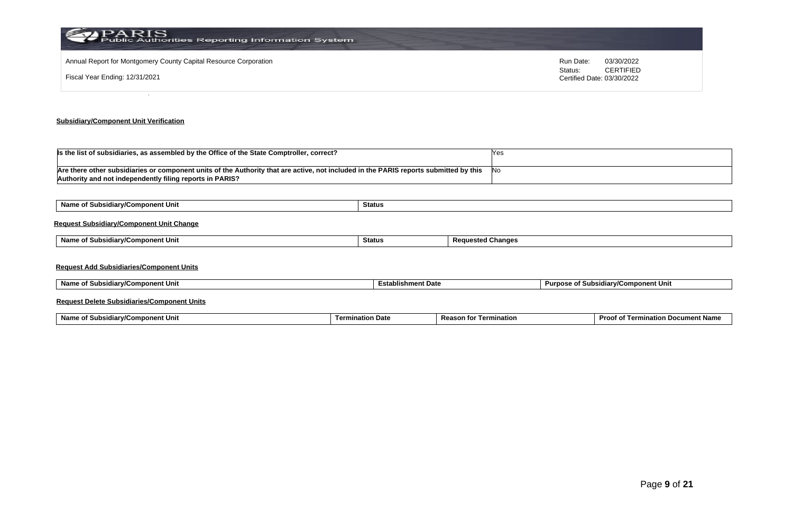| PARIS<br>Public Authorities Reporting Information System         |                                                        |
|------------------------------------------------------------------|--------------------------------------------------------|
| Annual Report for Montgomery County Capital Resource Corporation | Run Date:<br>03/30/2022<br><b>CERTIFIED</b><br>Status: |
| Fiscal Year Ending: 12/31/2021                                   | Certified Date: 03/30/2022                             |
|                                                                  |                                                        |

## **Subsidiary/Component Unit Verification**

| Is the list of subsidiaries, as assembled by the Office of the State Comptroller, correct?                                            | res   |
|---------------------------------------------------------------------------------------------------------------------------------------|-------|
|                                                                                                                                       |       |
| Are there other subsidiaries or component units of the Authority that are active, not included in the PARIS reports submitted by this | . INo |
| Authority and not independently filing reports in PARIS?                                                                              |       |

| Name of Subsidiary/Component Unit               | Status        |                          |
|-------------------------------------------------|---------------|--------------------------|
| <b>Request Subsidiary/Component Unit Change</b> |               |                          |
| Name of Subsidiary/Component Unit               | <b>Status</b> | <b>Requested Changes</b> |
| <b>Request Add Subsidiaries/Component Units</b> |               |                          |

| Name of Subsidiary/Component Unit | <b>Establishment Date</b> | Purpose of Subsidiary/Component Unit |
|-----------------------------------|---------------------------|--------------------------------------|
|                                   |                           |                                      |

## **Request Delete Subsidiaries/Component Units**

| Name o<br>้าmponent Uni<br>. .<br>"ularw"<br>Subsi<br>v, | nata<br>`੧tion ∟<br>ı ermi | Reasu<br>ination | Proof o<br>nt Nam<br>ınatior<br>Term<br><b>cumer</b><br>vu |
|----------------------------------------------------------|----------------------------|------------------|------------------------------------------------------------|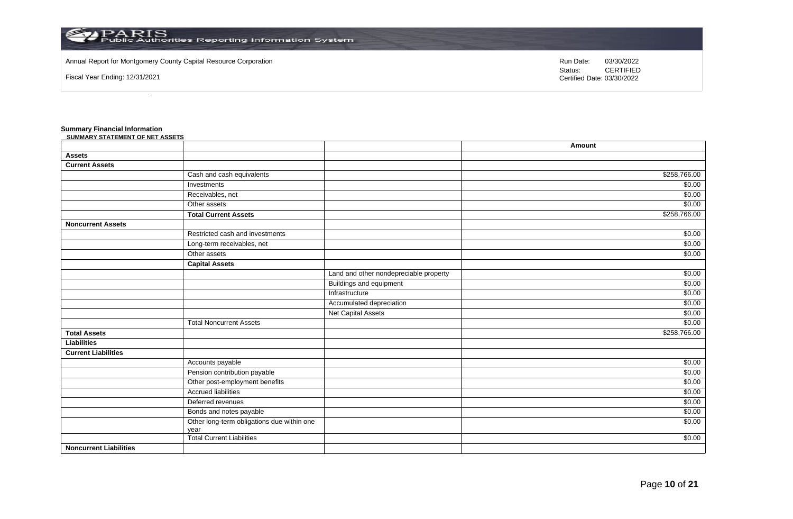

Annual Report for Montgomery County Capital Resource Corporation **Run Date:** 03/30/2022 **Run Date:** 03/30/2022

Fiscal Year Ending: 12/31/2021

Status: **CERTIFIED** Certified Date: 03/30/2022

## **Summary Financial Information**

| SUMMARY STATEMENT OF NET ASSETS |                                                    |                                        |                 |
|---------------------------------|----------------------------------------------------|----------------------------------------|-----------------|
|                                 |                                                    |                                        | Amount          |
| <b>Assets</b>                   |                                                    |                                        |                 |
| <b>Current Assets</b>           |                                                    |                                        |                 |
|                                 | Cash and cash equivalents                          |                                        | \$258,766.00    |
|                                 | Investments                                        |                                        | \$0.00          |
|                                 | Receivables, net                                   |                                        | $\sqrt{$0.00}$  |
|                                 | Other assets                                       |                                        | \$0.00          |
|                                 | <b>Total Current Assets</b>                        |                                        | \$258,766.00    |
| <b>Noncurrent Assets</b>        |                                                    |                                        |                 |
|                                 | Restricted cash and investments                    |                                        | $\frac{1}{000}$ |
|                                 | Long-term receivables, net                         |                                        | \$0.00          |
|                                 | Other assets                                       |                                        | \$0.00          |
|                                 | <b>Capital Assets</b>                              |                                        |                 |
|                                 |                                                    | Land and other nondepreciable property | \$0.00          |
|                                 |                                                    | <b>Buildings and equipment</b>         | \$0.00          |
|                                 |                                                    | Infrastructure                         | \$0.00          |
|                                 |                                                    | Accumulated depreciation               | \$0.00          |
|                                 |                                                    | <b>Net Capital Assets</b>              | \$0.00          |
|                                 | <b>Total Noncurrent Assets</b>                     |                                        | \$0.00          |
| <b>Total Assets</b>             |                                                    |                                        | \$258,766.00    |
| <b>Liabilities</b>              |                                                    |                                        |                 |
| <b>Current Liabilities</b>      |                                                    |                                        |                 |
|                                 | Accounts payable                                   |                                        | $\frac{1}{000}$ |
|                                 | Pension contribution payable                       |                                        | \$0.00          |
|                                 | Other post-employment benefits                     |                                        | \$0.00          |
|                                 | <b>Accrued liabilities</b>                         |                                        | \$0.00          |
|                                 | Deferred revenues                                  |                                        | \$0.00          |
|                                 | Bonds and notes payable                            |                                        | \$0.00          |
|                                 | Other long-term obligations due within one<br>year |                                        | \$0.00          |
|                                 | <b>Total Current Liabilities</b>                   |                                        | \$0.00          |
| <b>Noncurrent Liabilities</b>   |                                                    |                                        |                 |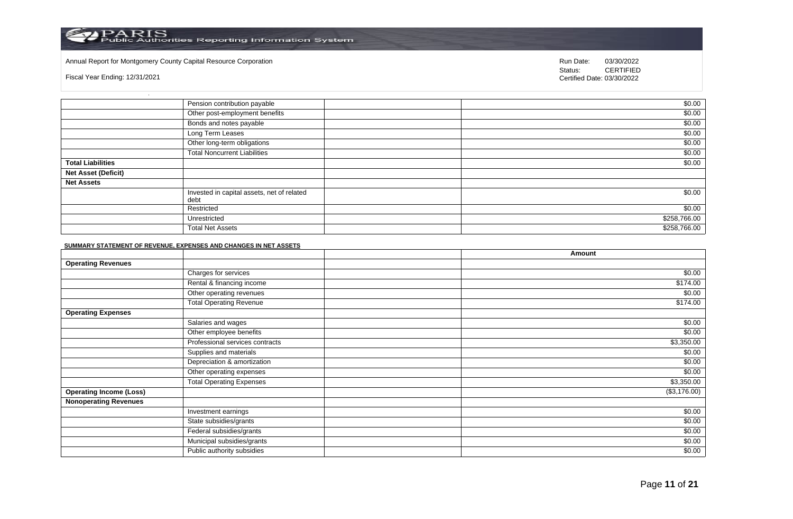### Annual Report for Montgomery County Capital Resource Corporation **Run Date:** 03/30/2022 **Run Date:** 03/30/2022

Fiscal Year Ending: 12/31/2021

Status: **CERTIFIED** Certified Date: 03/30/2022

|                            | Pension contribution payable                       | \$0.00       |
|----------------------------|----------------------------------------------------|--------------|
|                            | Other post-employment benefits                     | \$0.00       |
|                            | Bonds and notes payable                            | \$0.00       |
|                            | Long Term Leases                                   | \$0.00       |
|                            | Other long-term obligations                        | \$0.00       |
|                            | <b>Total Noncurrent Liabilities</b>                | \$0.00       |
| <b>Total Liabilities</b>   |                                                    | \$0.00       |
| <b>Net Asset (Deficit)</b> |                                                    |              |
| <b>Net Assets</b>          |                                                    |              |
|                            | Invested in capital assets, net of related<br>debt | \$0.00       |
|                            | Restricted                                         | \$0.00       |
|                            | Unrestricted                                       | \$258,766.00 |
|                            | <b>Total Net Assets</b>                            | \$258,766.00 |

### **SUMMARY STATEMENT OF REVENUE, EXPENSES AND CHANGES IN NET ASSETS**

|                                |                                 | Amount       |
|--------------------------------|---------------------------------|--------------|
| <b>Operating Revenues</b>      |                                 |              |
|                                | Charges for services            | \$0.00       |
|                                | Rental & financing income       | \$174.00     |
|                                | Other operating revenues        | \$0.00       |
|                                | <b>Total Operating Revenue</b>  | \$174.00     |
| <b>Operating Expenses</b>      |                                 |              |
|                                | Salaries and wages              | \$0.00       |
|                                | Other employee benefits         | \$0.00       |
|                                | Professional services contracts | \$3,350.00   |
|                                | Supplies and materials          | \$0.00       |
|                                | Depreciation & amortization     | \$0.00       |
|                                | Other operating expenses        | \$0.00       |
|                                | <b>Total Operating Expenses</b> | \$3,350.00   |
| <b>Operating Income (Loss)</b> |                                 | (\$3,176.00) |
| <b>Nonoperating Revenues</b>   |                                 |              |
|                                | Investment earnings             | \$0.00       |
|                                | State subsidies/grants          | \$0.00       |
|                                | Federal subsidies/grants        | \$0.00       |
|                                | Municipal subsidies/grants      | \$0.00       |
|                                | Public authority subsidies      | \$0.00       |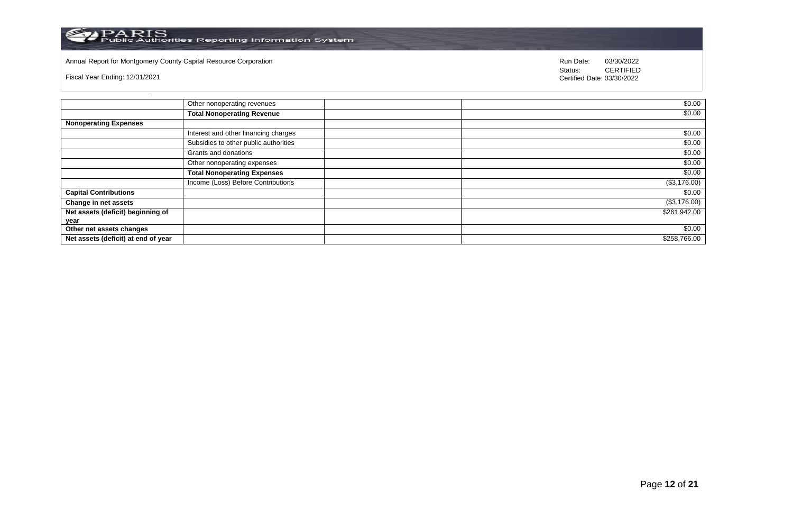

Annual Report for Montgomery County Capital Resource Corporation **Run Date:** 03/30/2022 **Run Date:** 03/30/2022

Fiscal Year Ending: 12/31/2021

Status: **CERTIFIED** Certified Date: 03/30/2022

|                                     | Other nonoperating revenues           | \$0.00       |
|-------------------------------------|---------------------------------------|--------------|
|                                     | <b>Total Nonoperating Revenue</b>     | \$0.00       |
| <b>Nonoperating Expenses</b>        |                                       |              |
|                                     | Interest and other financing charges  | \$0.00       |
|                                     | Subsidies to other public authorities | \$0.00       |
|                                     | Grants and donations                  | \$0.00       |
|                                     | Other nonoperating expenses           | \$0.00       |
|                                     | <b>Total Nonoperating Expenses</b>    | \$0.00       |
|                                     | Income (Loss) Before Contributions    | (\$3,176.00) |
| <b>Capital Contributions</b>        |                                       | \$0.00       |
| Change in net assets                |                                       | (\$3,176.00) |
| Net assets (deficit) beginning of   |                                       | \$261,942.00 |
| year                                |                                       |              |
| Other net assets changes            |                                       | \$0.00       |
| Net assets (deficit) at end of year |                                       | \$258,766.00 |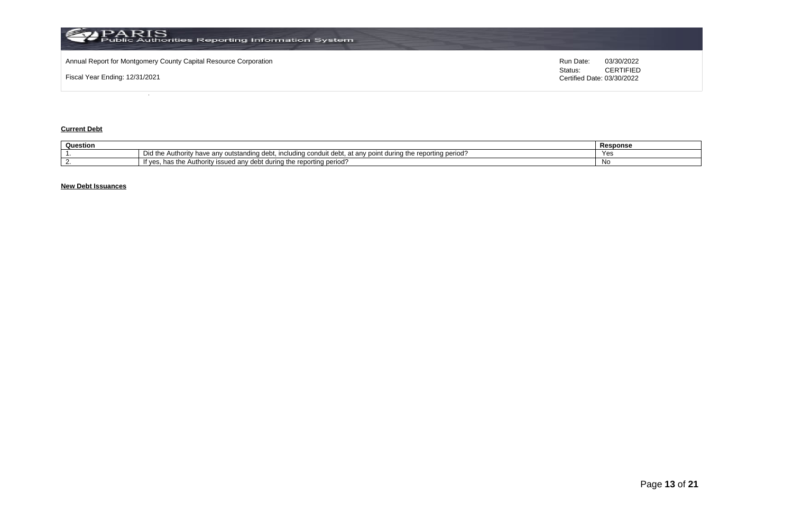

### **Current Debt**

| Question |                                                                                                                                                                             | Response   |
|----------|-----------------------------------------------------------------------------------------------------------------------------------------------------------------------------|------------|
|          | Did the<br>the reporting period?<br>Authority<br><sup>,</sup> have<br>outstanding debt. ⊾ anv outstanding<br>v point (<br>⊾durina f*<br>includina<br>i conduit debt.<br>anv | <b>Yac</b> |
|          | : reportina period :<br>' during the<br>' issued anv debt ∖<br>∘e Autr<br>ioritv<br>"t yes.<br>1163 US                                                                      | Νo         |

## **New Debt Issuances**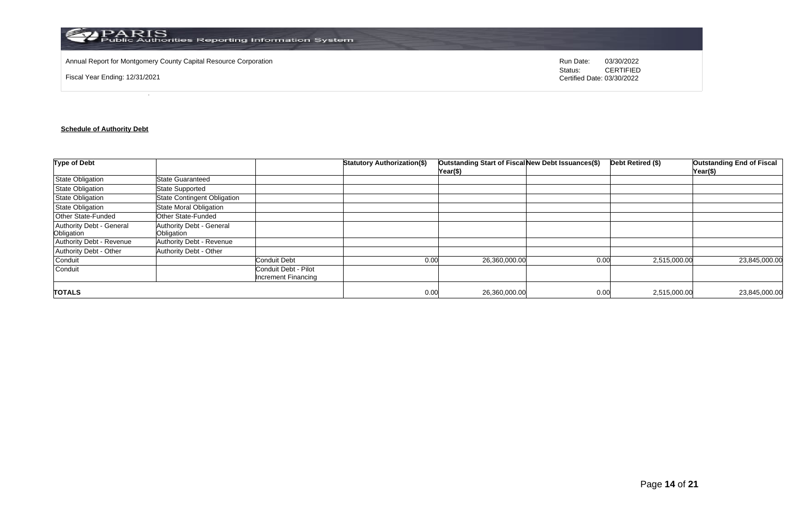

Annual Report for Montgomery County Capital Resource Corporation **Run Date:** 03/30/2022 **Run Date:** 03/30/2022

Fiscal Year Ending: 12/31/2021

Status: **CERTIFIED** Certified Date: 03/30/2022

## **Schedule of Authority Debt**

| <b>Type of Debt</b>                    |                                        |                                             | <b>Statutory Authorization(\$)</b> | Outstanding Start of Fiscal New Debt Issuances(\$)<br>Year(\$) |      | Debt Retired (\$) | <b>Outstanding End of Fiscal</b><br>Year(\$) |
|----------------------------------------|----------------------------------------|---------------------------------------------|------------------------------------|----------------------------------------------------------------|------|-------------------|----------------------------------------------|
| <b>State Obligation</b>                | State Guaranteed                       |                                             |                                    |                                                                |      |                   |                                              |
| <b>State Obligation</b>                | <b>State Supported</b>                 |                                             |                                    |                                                                |      |                   |                                              |
| <b>State Obligation</b>                | <b>State Contingent Obligation</b>     |                                             |                                    |                                                                |      |                   |                                              |
| <b>State Obligation</b>                | <b>State Moral Obligation</b>          |                                             |                                    |                                                                |      |                   |                                              |
| <b>Other State-Funded</b>              | Other State-Funded                     |                                             |                                    |                                                                |      |                   |                                              |
| Authority Debt - General<br>Obligation | Authority Debt - General<br>Obligation |                                             |                                    |                                                                |      |                   |                                              |
| Authority Debt - Revenue               | <b>Authority Debt - Revenue</b>        |                                             |                                    |                                                                |      |                   |                                              |
| Authority Debt - Other                 | Authority Debt - Other                 |                                             |                                    |                                                                |      |                   |                                              |
| Conduit                                |                                        | <b>Conduit Debt</b>                         | 0.00                               | 26,360,000.00                                                  | 0.00 | 2,515,000.00      | 23,845,000.00                                |
| Conduit                                |                                        | Conduit Debt - Pilot<br>Increment Financing |                                    |                                                                |      |                   |                                              |
| <b>TOTALS</b>                          |                                        |                                             | 0.00                               | 26,360,000.00                                                  | 0.00 | 2,515,000.00      | 23,845,000.00                                |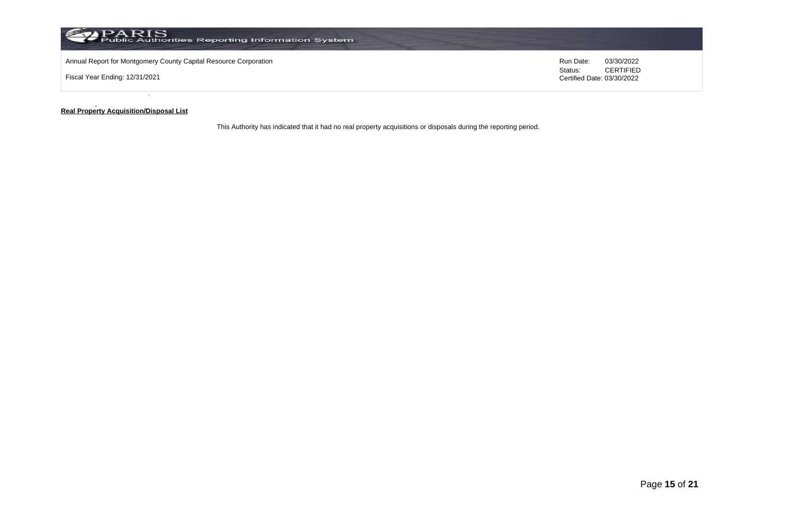

#### **Real Property Acquisition/Disposal List**

This Authority has indicated that it had no real property acquisitions or disposals during the reporting period.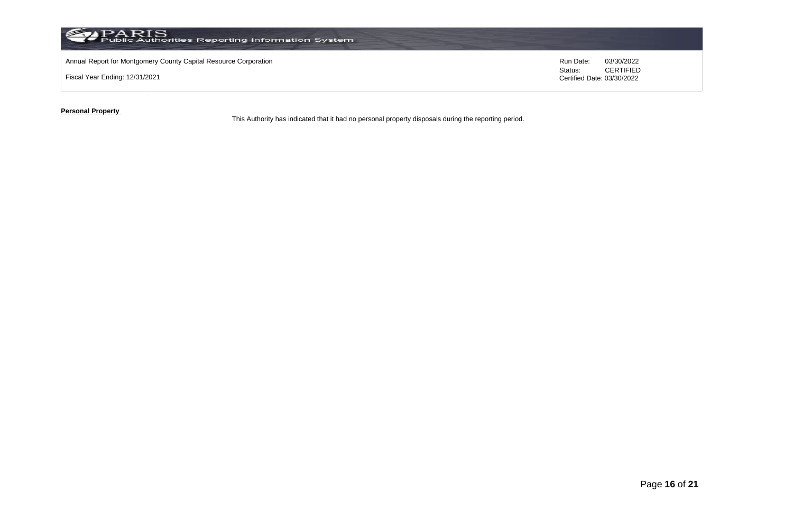

**Personal Property** 

This Authority has indicated that it had no personal property disposals during the reporting period.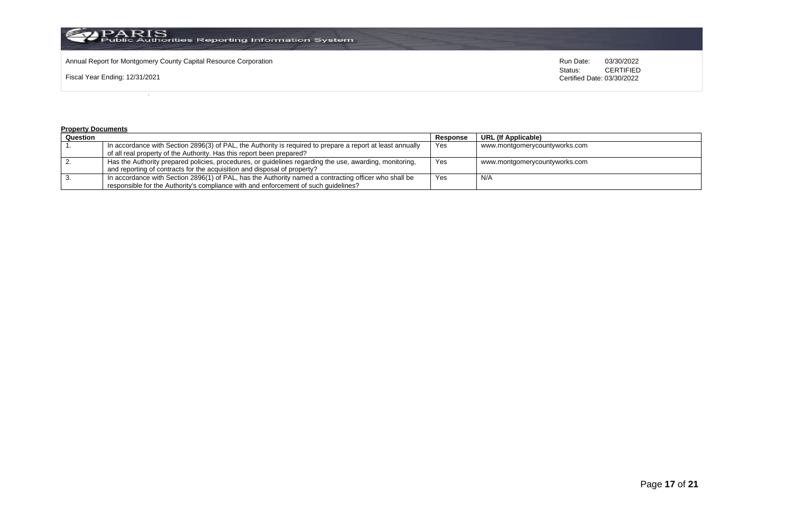

Annual Report for Montgomery County Capital Resource Corporation **Run Date:** 03/30/2022 **Run Date:** 03/30/2022

Fiscal Year Ending: 12/31/2021

Status: **CERTIFIED** Certified Date: 03/30/2022

### **Property Documents**

| Question |                                                                                                            | Response | URL (If Applicable)           |
|----------|------------------------------------------------------------------------------------------------------------|----------|-------------------------------|
|          | In accordance with Section 2896(3) of PAL, the Authority is required to prepare a report at least annually | Yes      | www.montgomerycountyworks.com |
|          | of all real property of the Authority. Has this report been prepared?                                      |          |                               |
|          | Has the Authority prepared policies, procedures, or guidelines regarding the use, awarding, monitoring,    | Yes      | www.montgomerycountyworks.com |
|          | and reporting of contracts for the acquisition and disposal of property?                                   |          |                               |
|          | In accordance with Section 2896(1) of PAL, has the Authority named a contracting officer who shall be      | Yes      | N/A                           |
|          | responsible for the Authority's compliance with and enforcement of such quidelines?                        |          |                               |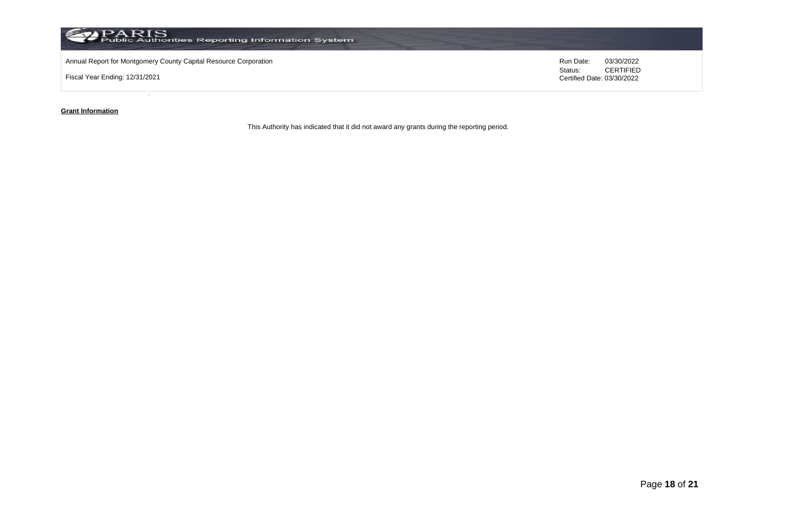

### **Grant Information**

This Authority has indicated that it did not award any grants during the reporting period.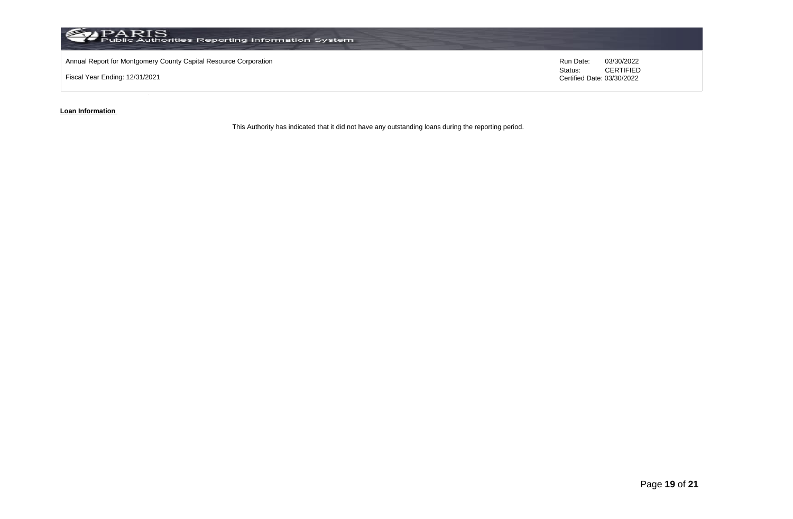

**Loan Information** 

This Authority has indicated that it did not have any outstanding loans during the reporting period.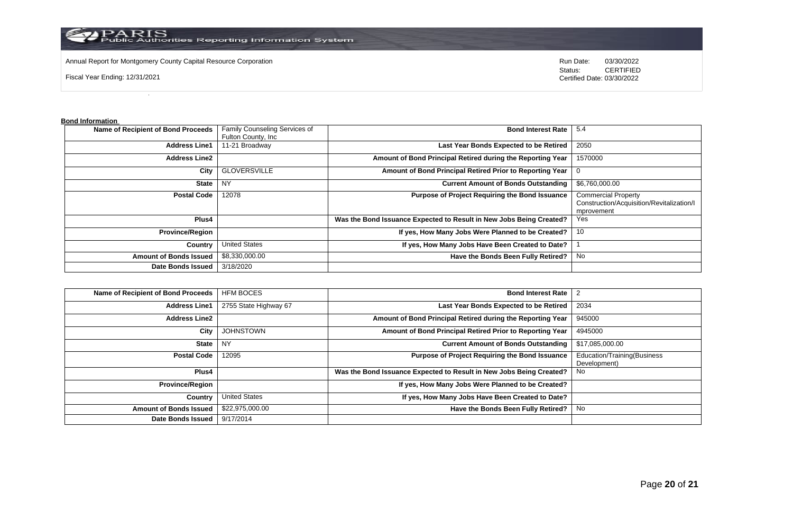

Annual Report for Montgomery County Capital Resource Corporation **Run Date:** 03/30/2022 **Run Date:** 03/30/2022

Fiscal Year Ending: 12/31/2021

Status: **CERTIFIED** Certified Date: 03/30/2022

**Bond Information** 

| Name of Recipient of Bond Proceeds | Family Counseling Services of | <b>Bond Interest Rate</b>                                           | -5.4                                                                                  |
|------------------------------------|-------------------------------|---------------------------------------------------------------------|---------------------------------------------------------------------------------------|
|                                    | Fulton County, Inc.           |                                                                     |                                                                                       |
| <b>Address Line1</b>               | 11-21 Broadway                | Last Year Bonds Expected to be Retired                              | 2050                                                                                  |
| <b>Address Line2</b>               |                               | Amount of Bond Principal Retired during the Reporting Year          | 1570000                                                                               |
| City                               | <b>GLOVERSVILLE</b>           | Amount of Bond Principal Retired Prior to Reporting Year            |                                                                                       |
| <b>State</b>                       | <b>NY</b>                     | <b>Current Amount of Bonds Outstanding</b>                          | \$6,760,000.00                                                                        |
| <b>Postal Code</b>                 | 12078                         | <b>Purpose of Project Requiring the Bond Issuance</b>               | <b>Commercial Property</b><br>Construction/Acquisition/Revitalization/I<br>mprovement |
| Plus4                              |                               | Was the Bond Issuance Expected to Result in New Jobs Being Created? | Yes                                                                                   |
| <b>Province/Region</b>             |                               | If yes, How Many Jobs Were Planned to be Created?                   | 10                                                                                    |
| Country                            | <b>United States</b>          | If yes, How Many Jobs Have Been Created to Date?                    |                                                                                       |
| <b>Amount of Bonds Issued</b>      | \$8,330,000.00                | Have the Bonds Been Fully Retired?                                  | No                                                                                    |
| <b>Date Bonds Issued</b>           | 3/18/2020                     |                                                                     |                                                                                       |

| Name of Recipient of Bond Proceeds | <b>HFM BOCES</b>      | <b>Bond Interest Rate</b>                                           | $\overline{2}$                              |
|------------------------------------|-----------------------|---------------------------------------------------------------------|---------------------------------------------|
| <b>Address Line1</b>               | 2755 State Highway 67 | Last Year Bonds Expected to be Retired                              | 2034                                        |
| <b>Address Line2</b>               |                       | Amount of Bond Principal Retired during the Reporting Year          | 945000                                      |
| City                               | <b>JOHNSTOWN</b>      | Amount of Bond Principal Retired Prior to Reporting Year            | 4945000                                     |
| <b>State</b>                       | NY                    | <b>Current Amount of Bonds Outstanding</b>                          | \$17,085,000.00                             |
| <b>Postal Code</b>                 | 12095                 | Purpose of Project Requiring the Bond Issuance                      | Education/Training(Business<br>Development) |
| Plus4                              |                       | Was the Bond Issuance Expected to Result in New Jobs Being Created? | No                                          |
| <b>Province/Region</b>             |                       | If yes, How Many Jobs Were Planned to be Created?                   |                                             |
| Country                            | <b>United States</b>  | If yes, How Many Jobs Have Been Created to Date?                    |                                             |
| <b>Amount of Bonds Issued</b>      | \$22,975,000.00       | Have the Bonds Been Fully Retired?                                  | No                                          |
| <b>Date Bonds Issued</b>           | 9/17/2014             |                                                                     |                                             |